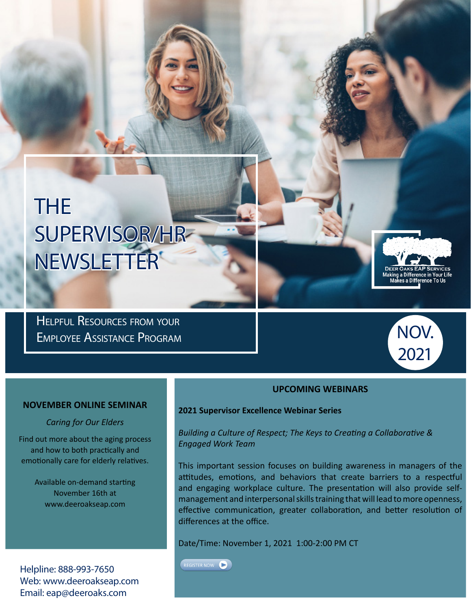# THE SUPERVISOR/HR NEWSLETTER

Helpful Resources from your Employee Assistance Program



king a Difference in Your L<br>Makes a Difference To Us<br>————————————————————

### **UPCOMING WEBINARS**

### **2021 Supervisor Excellence Webinar Series**

*Building a Culture of Respect; The Keys to Creating a Collaborative & Engaged Work Team*

This important session focuses on building awareness in managers of the attitudes, emotions, and behaviors that create barriers to a respectful and engaging workplace culture. The presentation will also provide selfmanagement and interpersonal skills training that will lead to more openness, effective communication, greater collaboration, and better resolution of differences at the office.

Date/Time: November 1, 2021 1:00-2:00 PM CT

REGISTER NOW

**NOVEMBER ONLINE SEMINAR**

#### *Caring for Our Elders*

Find out more about the aging process and how to both practically and emotionally care for elderly relatives.

> Available on-demand starting November 16th at www.deeroakseap.com

Helpline: 888-993-7650 Web: www.deeroakseap.com Email: eap@deeroaks.com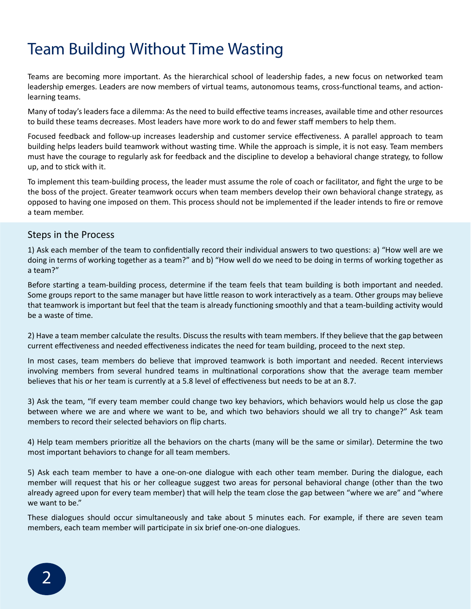### Team Building Without Time Wasting

Teams are becoming more important. As the hierarchical school of leadership fades, a new focus on networked team leadership emerges. Leaders are now members of virtual teams, autonomous teams, cross-functional teams, and actionlearning teams.

Many of today's leaders face a dilemma: As the need to build effective teams increases, available time and other resources to build these teams decreases. Most leaders have more work to do and fewer staff members to help them.

Focused feedback and follow-up increases leadership and customer service effectiveness. A parallel approach to team building helps leaders build teamwork without wasting time. While the approach is simple, it is not easy. Team members must have the courage to regularly ask for feedback and the discipline to develop a behavioral change strategy, to follow up, and to stick with it.

To implement this team-building process, the leader must assume the role of coach or facilitator, and fight the urge to be the boss of the project. Greater teamwork occurs when team members develop their own behavioral change strategy, as opposed to having one imposed on them. This process should not be implemented if the leader intends to fire or remove a team member.

### Steps in the Process

1) Ask each member of the team to confidentially record their individual answers to two questions: a) "How well are we doing in terms of working together as a team?" and b) "How well do we need to be doing in terms of working together as a team?"

Before starting a team-building process, determine if the team feels that team building is both important and needed. Some groups report to the same manager but have little reason to work interactively as a team. Other groups may believe that teamwork is important but feel that the team is already functioning smoothly and that a team-building activity would be a waste of time.

2) Have a team member calculate the results. Discuss the results with team members. If they believe that the gap between current effectiveness and needed effectiveness indicates the need for team building, proceed to the next step.

In most cases, team members do believe that improved teamwork is both important and needed. Recent interviews involving members from several hundred teams in multinational corporations show that the average team member believes that his or her team is currently at a 5.8 level of effectiveness but needs to be at an 8.7.

3) Ask the team, "If every team member could change two key behaviors, which behaviors would help us close the gap between where we are and where we want to be, and which two behaviors should we all try to change?" Ask team members to record their selected behaviors on flip charts.

4) Help team members prioritize all the behaviors on the charts (many will be the same or similar). Determine the two most important behaviors to change for all team members.

5) Ask each team member to have a one-on-one dialogue with each other team member. During the dialogue, each member will request that his or her colleague suggest two areas for personal behavioral change (other than the two already agreed upon for every team member) that will help the team close the gap between "where we are" and "where we want to be."

These dialogues should occur simultaneously and take about 5 minutes each. For example, if there are seven team members, each team member will participate in six brief one-on-one dialogues.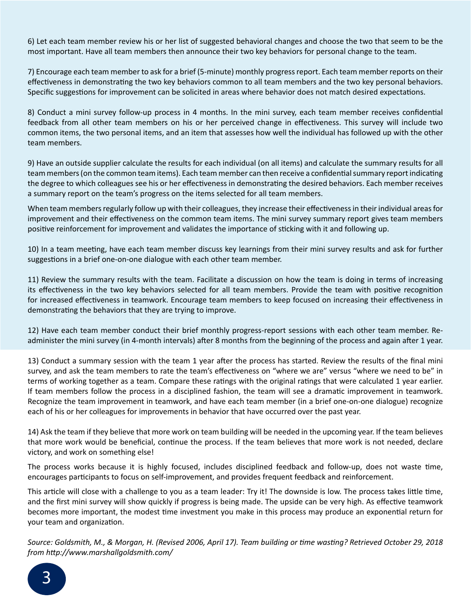6) Let each team member review his or her list of suggested behavioral changes and choose the two that seem to be the most important. Have all team members then announce their two key behaviors for personal change to the team.

7) Encourage each team member to ask for a brief (5-minute) monthly progress report. Each team member reports on their effectiveness in demonstrating the two key behaviors common to all team members and the two key personal behaviors. Specific suggestions for improvement can be solicited in areas where behavior does not match desired expectations.

8) Conduct a mini survey follow-up process in 4 months. In the mini survey, each team member receives confidential feedback from all other team members on his or her perceived change in effectiveness. This survey will include two common items, the two personal items, and an item that assesses how well the individual has followed up with the other team members.

9) Have an outside supplier calculate the results for each individual (on all items) and calculate the summary results for all team members (on the common team items). Each team member can then receive a confidential summary report indicating the degree to which colleagues see his or her effectiveness in demonstrating the desired behaviors. Each member receives a summary report on the team's progress on the items selected for all team members.

When team members regularly follow up with their colleagues, they increase their effectiveness in their individual areas for improvement and their effectiveness on the common team items. The mini survey summary report gives team members positive reinforcement for improvement and validates the importance of sticking with it and following up.

10) In a team meeting, have each team member discuss key learnings from their mini survey results and ask for further suggestions in a brief one-on-one dialogue with each other team member.

11) Review the summary results with the team. Facilitate a discussion on how the team is doing in terms of increasing its effectiveness in the two key behaviors selected for all team members. Provide the team with positive recognition for increased effectiveness in teamwork. Encourage team members to keep focused on increasing their effectiveness in demonstrating the behaviors that they are trying to improve.

12) Have each team member conduct their brief monthly progress-report sessions with each other team member. Readminister the mini survey (in 4-month intervals) after 8 months from the beginning of the process and again after 1 year.

13) Conduct a summary session with the team 1 year after the process has started. Review the results of the final mini survey, and ask the team members to rate the team's effectiveness on "where we are" versus "where we need to be" in terms of working together as a team. Compare these ratings with the original ratings that were calculated 1 year earlier. If team members follow the process in a disciplined fashion, the team will see a dramatic improvement in teamwork. Recognize the team improvement in teamwork, and have each team member (in a brief one-on-one dialogue) recognize each of his or her colleagues for improvements in behavior that have occurred over the past year.

14) Ask the team if they believe that more work on team building will be needed in the upcoming year. If the team believes that more work would be beneficial, continue the process. If the team believes that more work is not needed, declare victory, and work on something else!

The process works because it is highly focused, includes disciplined feedback and follow-up, does not waste time, encourages participants to focus on self-improvement, and provides frequent feedback and reinforcement.

This article will close with a challenge to you as a team leader: Try it! The downside is low. The process takes little time, and the first mini survey will show quickly if progress is being made. The upside can be very high. As effective teamwork becomes more important, the modest time investment you make in this process may produce an exponential return for your team and organization.

*Source: Goldsmith, M., & Morgan, H. (Revised 2006, April 17). Team building or time wasting? Retrieved October 29, 2018 from http://www.marshallgoldsmith.com/*